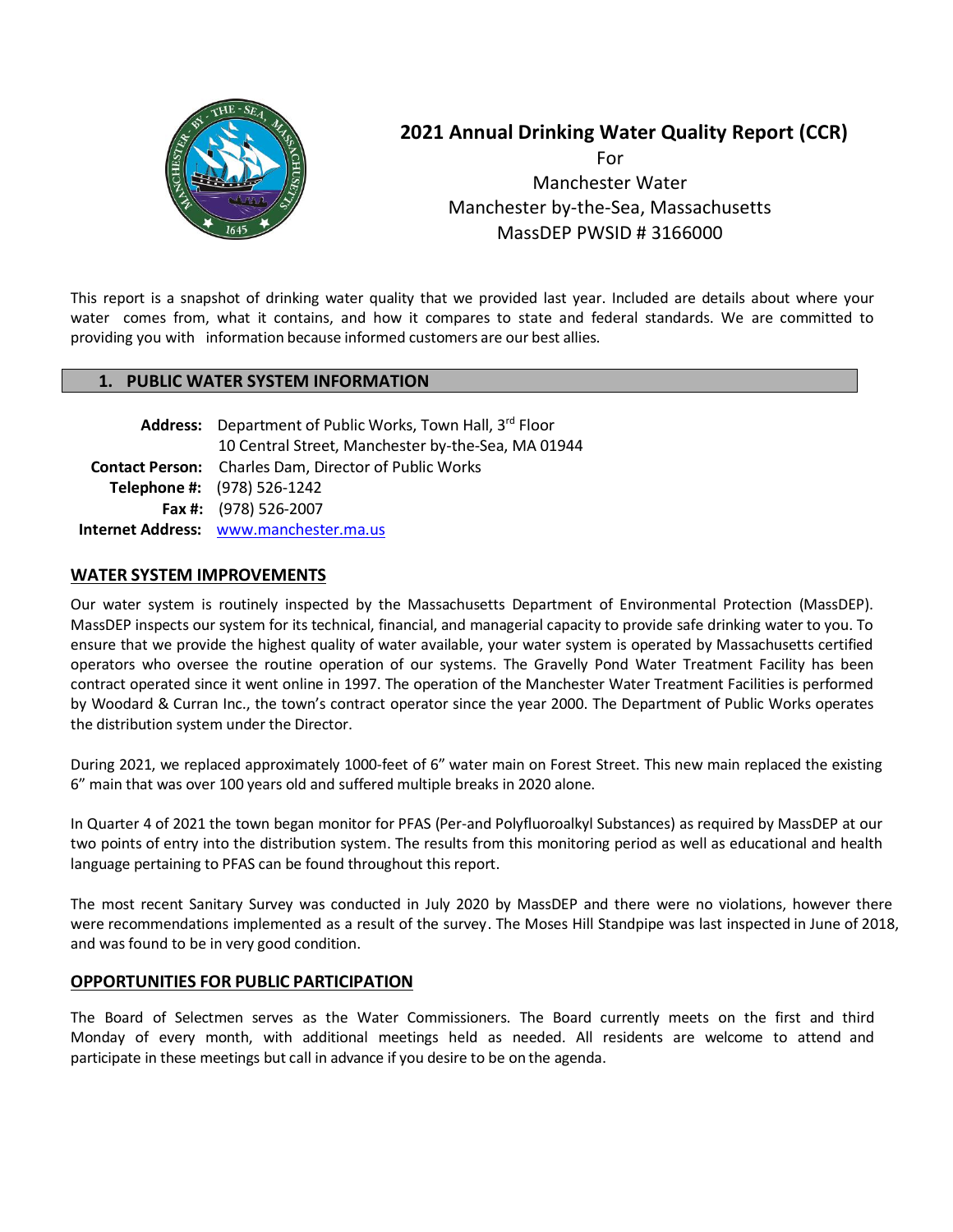

# **2021 Annual Drinking Water Quality Report (CCR)**

**For For**  Manchester Water Manchester by-the-Sea, Massachusetts MassDEP PWSID # 3166000

This report is a snapshot of drinking water quality that we provided last year. Included are details about where your water comes from, what it contains, and how it compares to state and federal standards. We are committed to providing you with information because informed customers are our best allies.

#### **1. PUBLIC WATER SYSTEM INFORMATION**

| Address: Department of Public Works, Town Hall, 3rd Floor    |
|--------------------------------------------------------------|
| 10 Central Street, Manchester by-the-Sea, MA 01944           |
| <b>Contact Person:</b> Charles Dam, Director of Public Works |
| Telephone #: (978) 526-1242                                  |
| Fax #: (978) 526-2007                                        |
| Internet Address: www.manchester.ma.us                       |

#### **WATER SYSTEM IMPROVEMENTS**

Our water system is routinely inspected by the Massachusetts Department of Environmental Protection (MassDEP). MassDEP inspects our system for its technical, financial, and managerial capacity to provide safe drinking water to you. To ensure that we provide the highest quality of water available, your water system is operated by Massachusetts certified operators who oversee the routine operation of our systems. The Gravelly Pond Water Treatment Facility has been contract operated since it went online in 1997. The operation of the Manchester Water Treatment Facilities is performed by Woodard & Curran Inc., the town's contract operator since the year 2000. The Department of Public Works operates the distribution system under the Director.

During 2021, we replaced approximately 1000-feet of 6" water main on Forest Street. This new main replaced the existing 6" main that was over 100 years old and suffered multiple breaks in 2020 alone.

In Quarter 4 of 2021 the town began monitor for PFAS (Per-and Polyfluoroalkyl Substances) as required by MassDEP at our two points of entry into the distribution system. The results from this monitoring period as well as educational and health language pertaining to PFAS can be found throughout this report.

The most recent Sanitary Survey was conducted in July 2020 by MassDEP and there were no violations, however there were recommendations implemented as a result of the survey. The Moses Hill Standpipe was last inspected in June of 2018, and was found to be in very good condition.

#### **OPPORTUNITIES FOR PUBLIC PARTICIPATION**

The Board of Selectmen serves as the Water Commissioners. The Board currently meets on the first and third Monday of every month, with additional meetings held as needed. All residents are welcome to attend and participate in these meetings but call in advance if you desire to be on the agenda.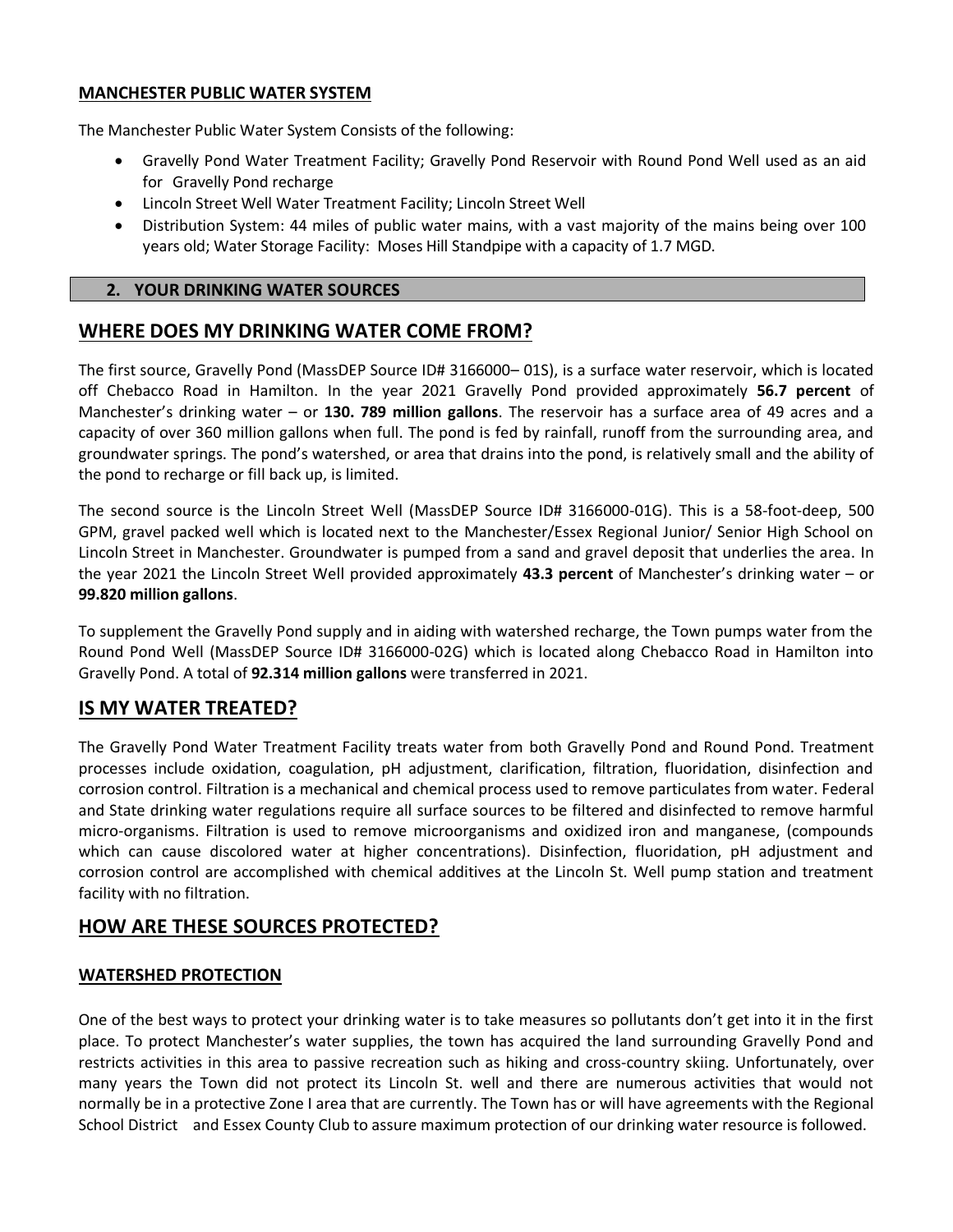#### **MANCHESTER PUBLIC WATER SYSTEM**

The Manchester Public Water System Consists of the following:

- Gravelly Pond Water Treatment Facility; Gravelly Pond Reservoir with Round Pond Well used as an aid for Gravelly Pond recharge
- Lincoln Street Well Water Treatment Facility; Lincoln Street Well
- Distribution System: 44 miles of public water mains, with a vast majority of the mains being over 100 years old; Water Storage Facility: Moses Hill Standpipe with a capacity of 1.7 MGD.

#### **2. YOUR DRINKING WATER SOURCES**

# **WHERE DOES MY DRINKING WATER COME FROM?**

The first source, Gravelly Pond (MassDEP Source ID# 3166000– 01S), is a surface water reservoir, which is located off Chebacco Road in Hamilton. In the year 2021 Gravelly Pond provided approximately **56.7 percent** of Manchester's drinking water – or **130. 789 million gallons**. The reservoir has a surface area of 49 acres and a capacity of over 360 million gallons when full. The pond is fed by rainfall, runoff from the surrounding area, and groundwater springs. The pond's watershed, or area that drains into the pond, is relatively small and the ability of the pond to recharge or fill back up, is limited.

The second source is the Lincoln Street Well (MassDEP Source ID# 3166000-01G). This is a 58-foot-deep, 500 GPM, gravel packed well which is located next to the Manchester/Essex Regional Junior/ Senior High School on Lincoln Street in Manchester. Groundwater is pumped from a sand and gravel deposit that underlies the area. In the year 2021 the Lincoln Street Well provided approximately **43.3 percent** of Manchester's drinking water – or **99.820 million gallons**.

To supplement the Gravelly Pond supply and in aiding with watershed recharge, the Town pumps water from the Round Pond Well (MassDEP Source ID# 3166000-02G) which is located along Chebacco Road in Hamilton into Gravelly Pond. A total of **92.314 million gallons** were transferred in 2021.

# **IS MY WATER TREATED?**

The Gravelly Pond Water Treatment Facility treats water from both Gravelly Pond and Round Pond. Treatment processes include oxidation, coagulation, pH adjustment, clarification, filtration, fluoridation, disinfection and corrosion control. Filtration is a mechanical and chemical process used to remove particulates from water. Federal and State drinking water regulations require all surface sources to be filtered and disinfected to remove harmful micro-organisms. Filtration is used to remove microorganisms and oxidized iron and manganese, (compounds which can cause discolored water at higher concentrations). Disinfection, fluoridation, pH adjustment and corrosion control are accomplished with chemical additives at the Lincoln St. Well pump station and treatment facility with no filtration.

# **HOW ARE THESE SOURCES PROTECTED?**

## **WATERSHED PROTECTION**

One of the best ways to protect your drinking water is to take measures so pollutants don't get into it in the first place. To protect Manchester's water supplies, the town has acquired the land surrounding Gravelly Pond and restricts activities in this area to passive recreation such as hiking and cross-country skiing. Unfortunately, over many years the Town did not protect its Lincoln St. well and there are numerous activities that would not normally be in a protective Zone I area that are currently. The Town has or will have agreements with the Regional School District and Essex County Club to assure maximum protection of our drinking water resource is followed.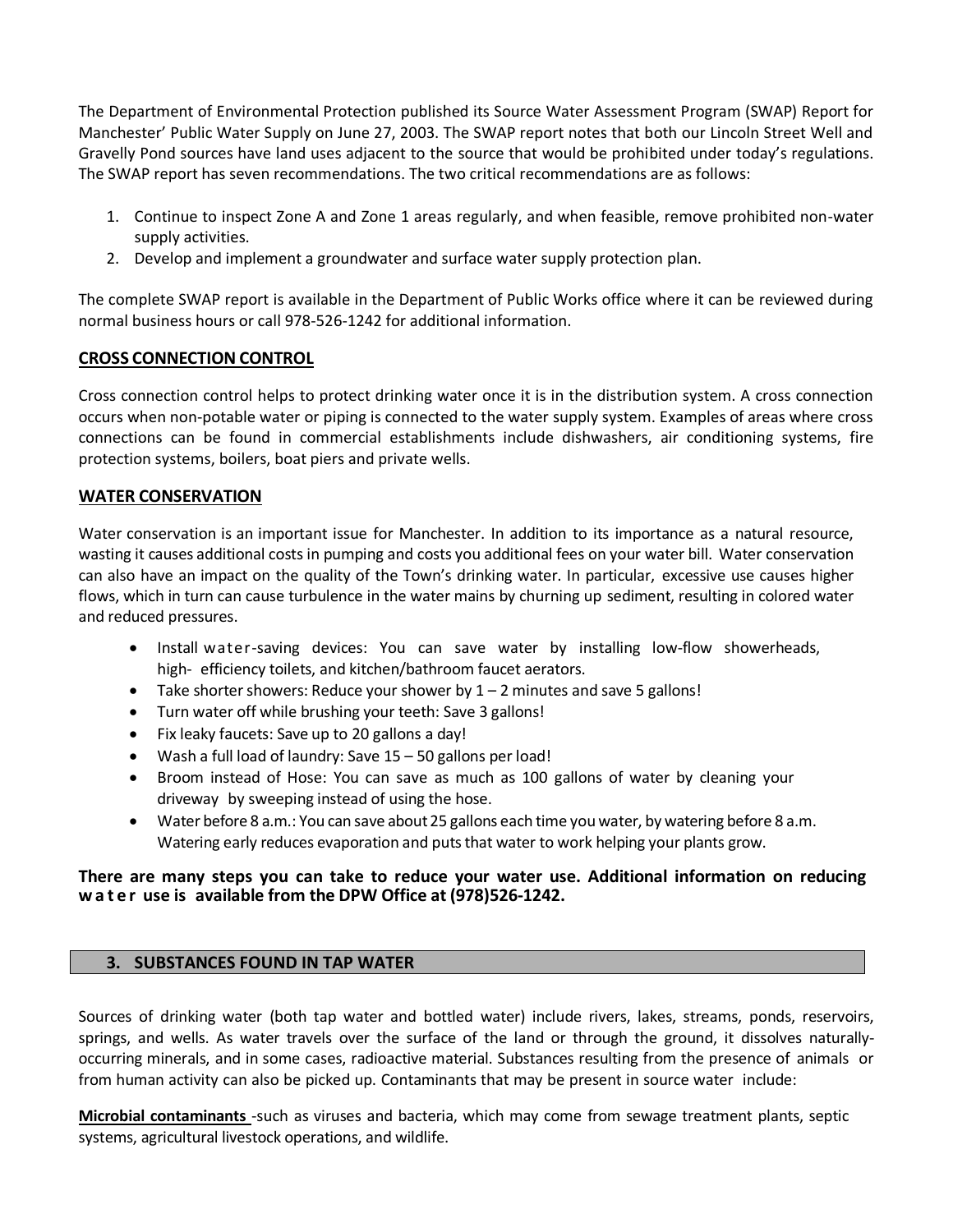The Department of Environmental Protection published its Source Water Assessment Program (SWAP) Report for Manchester' Public Water Supply on June 27, 2003. The SWAP report notes that both our Lincoln Street Well and Gravelly Pond sources have land uses adjacent to the source that would be prohibited under today's regulations. The SWAP report has seven recommendations. The two critical recommendations are as follows:

- 1. Continue to inspect Zone A and Zone 1 areas regularly, and when feasible, remove prohibited non-water supply activities.
- 2. Develop and implement a groundwater and surface water supply protection plan.

The complete SWAP report is available in the Department of Public Works office where it can be reviewed during normal business hours or call 978-526-1242 for additional information.

## **CROSS CONNECTION CONTROL**

Cross connection control helps to protect drinking water once it is in the distribution system. A cross connection occurs when non-potable water or piping is connected to the water supply system. Examples of areas where cross connections can be found in commercial establishments include dishwashers, air conditioning systems, fire protection systems, boilers, boat piers and private wells.

## **WATER CONSERVATION**

Water conservation is an important issue for Manchester. In addition to its importance as a natural resource, wasting it causes additional costs in pumping and costs you additional fees on your water bill. Water conservation can also have an impact on the quality of the Town's drinking water. In particular, excessive use causes higher flows, which in turn can cause turbulence in the water mains by churning up sediment, resulting in colored water and reduced pressures.

- Install water-saving devices: You can save water by installing low-flow showerheads, high- efficiency toilets, and kitchen/bathroom faucet aerators.
- Take shorter showers: Reduce your shower by  $1 2$  minutes and save 5 gallons!
- Turn water off while brushing your teeth: Save 3 gallons!
- Fix leaky faucets: Save up to 20 gallons a day!
- Wash a full load of laundry: Save 15 50 gallons per load!
- Broom instead of Hose: You can save as much as 100 gallons of water by cleaning your driveway by sweeping instead of using the hose.
- Water before 8 a.m.: You can save about25 gallons each time you water, by watering before 8 a.m. Watering early reduces evaporation and puts that water to work helping your plants grow.

## **There are many steps you can take to reduce your water use. Additional information on reducing w a t e r use is available from the DPW Office at (978)526-1242.**

## **3. SUBSTANCES FOUND IN TAP WATER**

Sources of drinking water (both tap water and bottled water) include rivers, lakes, streams, ponds, reservoirs, springs, and wells. As water travels over the surface of the land or through the ground, it dissolves naturallyoccurring minerals, and in some cases, radioactive material. Substances resulting from the presence of animals or from human activity can also be picked up. Contaminants that may be present in source water include:

**Microbial contaminants** -such as viruses and bacteria, which may come from sewage treatment plants, septic systems, agricultural livestock operations, and wildlife.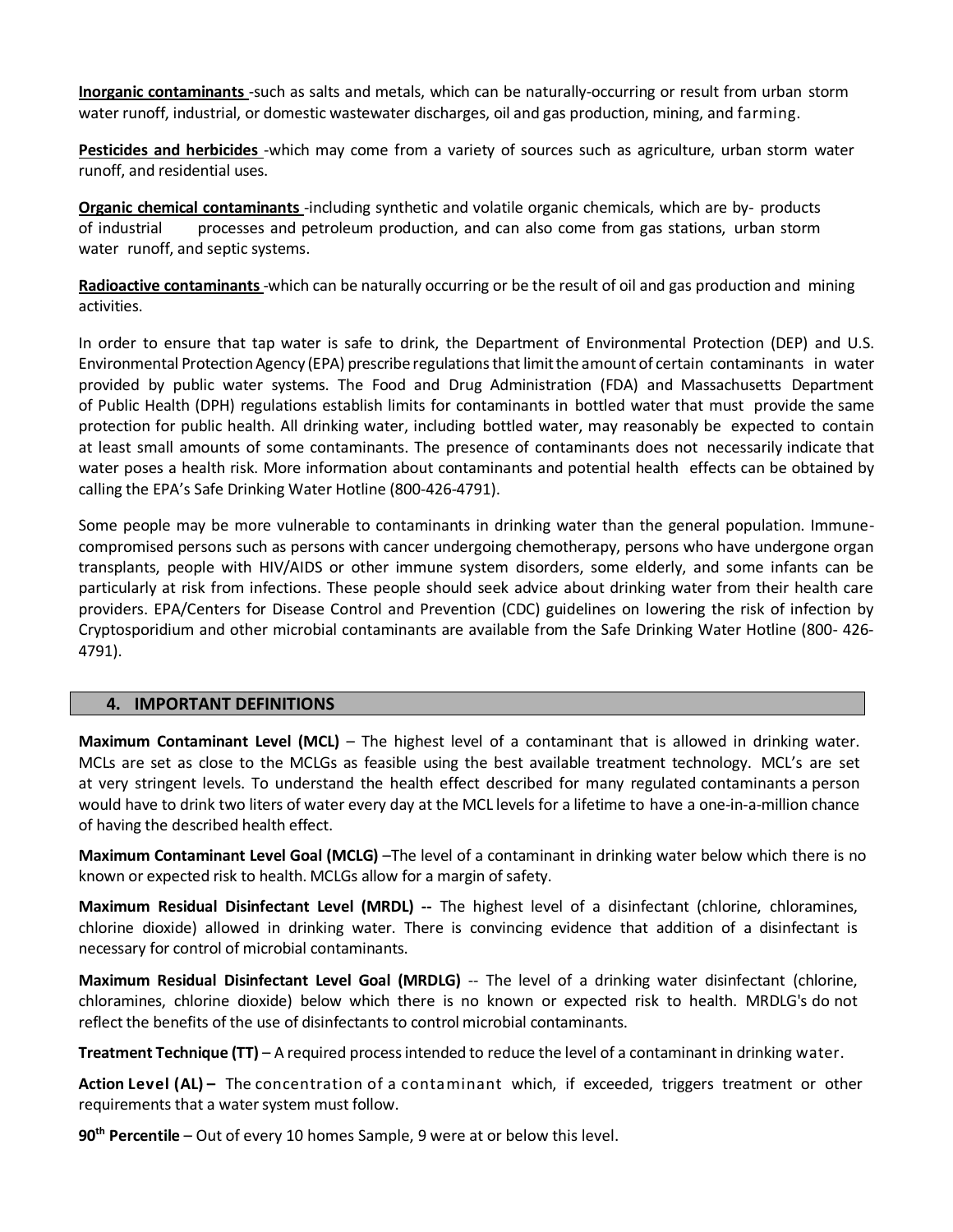**Inorganic contaminants** -such as salts and metals, which can be naturally-occurring or result from urban storm water runoff, industrial, or domestic wastewater discharges, oil and gas production, mining, and farming.

**Pesticides and herbicides** -which may come from a variety of sources such as agriculture, urban storm water runoff, and residential uses.

**Organic chemical contaminants** -including synthetic and volatile organic chemicals, which are by- products of industrial processes and petroleum production, and can also come from gas stations, urban storm water runoff, and septic systems.

**Radioactive contaminants**-which can be naturally occurring or be the result of oil and gas production and mining activities.

In order to ensure that tap water is safe to drink, the Department of Environmental Protection (DEP) and U.S. Environmental Protection Agency (EPA) prescribe regulations that limit the amount of certain contaminants in water provided by public water systems. The Food and Drug Administration (FDA) and Massachusetts Department of Public Health (DPH) regulations establish limits for contaminants in bottled water that must provide the same protection for public health. All drinking water, including bottled water, may reasonably be expected to contain at least small amounts of some contaminants. The presence of contaminants does not necessarily indicate that water poses a health risk. More information about contaminants and potential health effects can be obtained by calling the EPA's Safe Drinking Water Hotline (800-426-4791).

Some people may be more vulnerable to contaminants in drinking water than the general population. Immunecompromised persons such as persons with cancer undergoing chemotherapy, persons who have undergone organ transplants, people with HIV/AIDS or other immune system disorders, some elderly, and some infants can be particularly at risk from infections. These people should seek advice about drinking water from their health care providers. EPA/Centers for Disease Control and Prevention (CDC) guidelines on lowering the risk of infection by Cryptosporidium and other microbial contaminants are available from the Safe Drinking Water Hotline (800- 426- 4791).

#### **4. IMPORTANT DEFINITIONS**

**Maximum Contaminant Level (MCL)** – The highest level of a contaminant that is allowed in drinking water. MCLs are set as close to the MCLGs as feasible using the best available treatment technology. MCL's are set at very stringent levels. To understand the health effect described for many regulated contaminants a person would have to drink two liters of water every day at the MCL levels for a lifetime to have a one-in-a-million chance of having the described health effect.

**Maximum Contaminant Level Goal (MCLG)** –The level of a contaminant in drinking water below which there is no known or expected risk to health. MCLGs allow for a margin of safety.

**Maximum Residual Disinfectant Level (MRDL) --** The highest level of a disinfectant (chlorine, chloramines, chlorine dioxide) allowed in drinking water. There is convincing evidence that addition of a disinfectant is necessary for control of microbial contaminants.

**Maximum Residual Disinfectant Level Goal (MRDLG)** -- The level of a drinking water disinfectant (chlorine, chloramines, chlorine dioxide) below which there is no known or expected risk to health. MRDLG's do not reflect the benefits of the use of disinfectants to control microbial contaminants.

**Treatment Technique (TT)** – A required processintended to reduce the level of a contaminant in drinking water.

**Action Level (AL) –** The concentration of a contaminant which, if exceeded, triggers treatment or other requirements that a water system must follow.

**90th Percentile** – Out of every 10 homes Sample, 9 were at or below this level.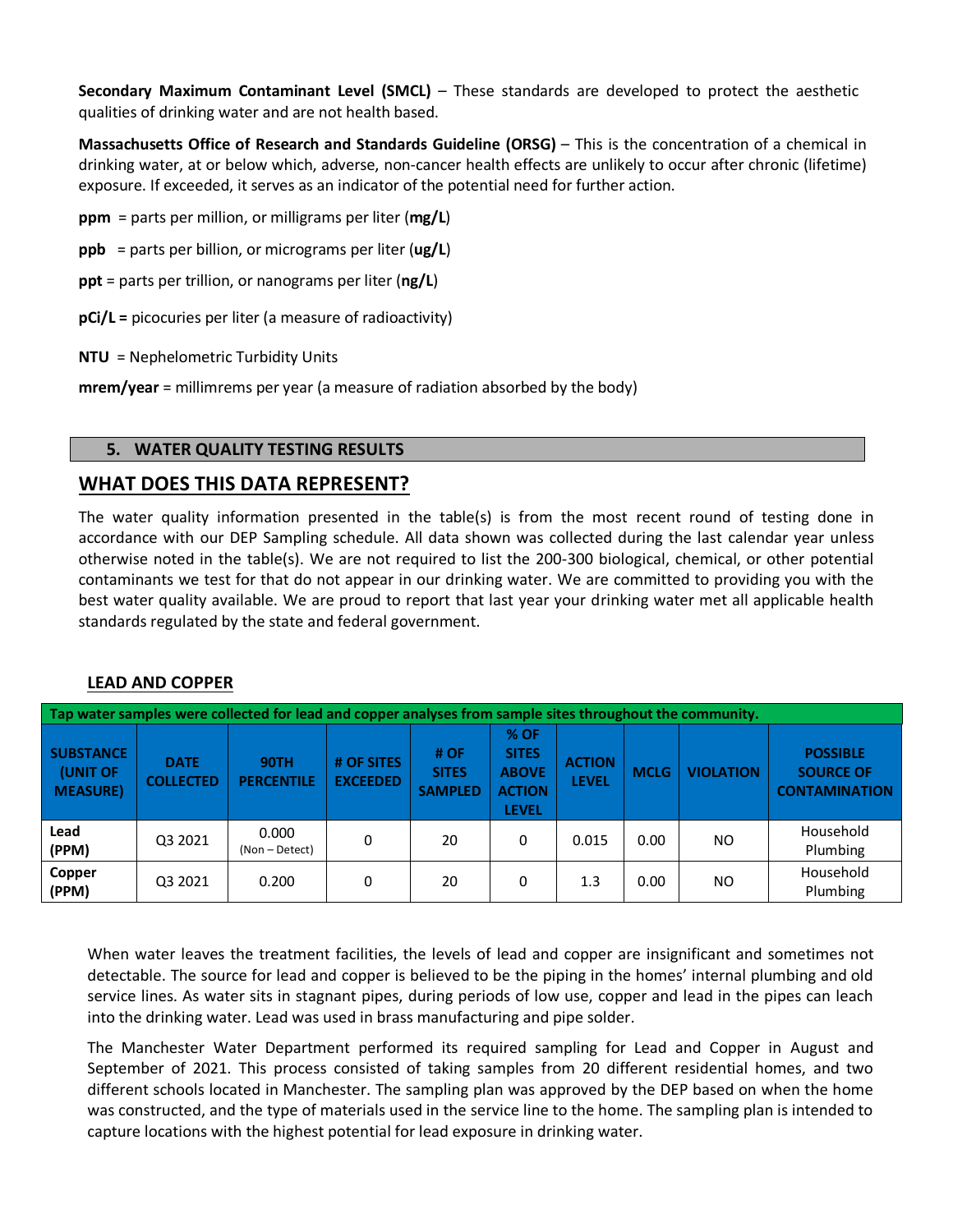**Secondary Maximum Contaminant Level (SMCL)** – These standards are developed to protect the aesthetic qualities of drinking water and are not health based.

**Massachusetts Office of Research and Standards Guideline (ORSG)** – This is the concentration of a chemical in drinking water, at or below which, adverse, non-cancer health effects are unlikely to occur after chronic (lifetime) exposure. If exceeded, it serves as an indicator of the potential need for further action.

- **ppm** = parts per million, or milligrams per liter (**mg/L**)
- **ppb** = parts per billion, or micrograms per liter (**ug/L**)
- **ppt** = parts per trillion, or nanograms per liter (**ng/L**)
- **pCi/L =** picocuries per liter (a measure of radioactivity)
- **NTU** = Nephelometric Turbidity Units

**mrem/year** = millimrems per year (a measure of radiation absorbed by the body)

## **5. WATER QUALITY TESTING RESULTS**

# **WHAT DOES THIS DATA REPRESENT?**

The water quality information presented in the table(s) is from the most recent round of testing done in accordance with our DEP Sampling schedule. All data shown was collected during the last calendar year unless otherwise noted in the table(s). We are not required to list the 200-300 biological, chemical, or other potential contaminants we test for that do not appear in our drinking water. We are committed to providing you with the best water quality available. We are proud to report that last year your drinking water met all applicable health standards regulated by the state and federal government.

## **LEAD AND COPPER**

| Tap water samples were collected for lead and copper analyses from sample sites throughout the community. |                                 |                                  |                               |                                        |                                                                         |                               |             |                  |                                                             |  |  |
|-----------------------------------------------------------------------------------------------------------|---------------------------------|----------------------------------|-------------------------------|----------------------------------------|-------------------------------------------------------------------------|-------------------------------|-------------|------------------|-------------------------------------------------------------|--|--|
| <b>SUBSTANCE</b><br>(UNIT OF<br><b>MEASURE</b>                                                            | <b>DATE</b><br><b>COLLECTED</b> | <b>90TH</b><br><b>PERCENTILE</b> | # OF SITES<br><b>EXCEEDED</b> | # OF<br><b>SITES</b><br><b>SAMPLED</b> | $%$ OF<br><b>SITES</b><br><b>ABOVE</b><br><b>ACTION</b><br><b>LEVEL</b> | <b>ACTION</b><br><b>LEVEL</b> | <b>MCLG</b> | <b>VIOLATION</b> | <b>POSSIBLE</b><br><b>SOURCE OF</b><br><b>CONTAMINATION</b> |  |  |
| Lead<br>(PPM)                                                                                             | Q3 2021                         | 0.000<br>(Non - Detect)          | 0                             | 20                                     | $\Omega$                                                                | 0.015                         | 0.00        | NO.              | Household<br>Plumbing                                       |  |  |
| Copper<br>(PPM)                                                                                           | Q3 2021                         | 0.200                            | 0                             | 20                                     | 0                                                                       | 1.3                           | 0.00        | NO.              | Household<br>Plumbing                                       |  |  |

When water leaves the treatment facilities, the levels of lead and copper are insignificant and sometimes not detectable. The source for lead and copper is believed to be the piping in the homes' internal plumbing and old service lines. As water sits in stagnant pipes, during periods of low use, copper and lead in the pipes can leach into the drinking water. Lead was used in brass manufacturing and pipe solder.

The Manchester Water Department performed its required sampling for Lead and Copper in August and September of 2021. This process consisted of taking samples from 20 different residential homes, and two different schools located in Manchester. The sampling plan was approved by the DEP based on when the home was constructed, and the type of materials used in the service line to the home. The sampling plan is intended to capture locations with the highest potential for lead exposure in drinking water.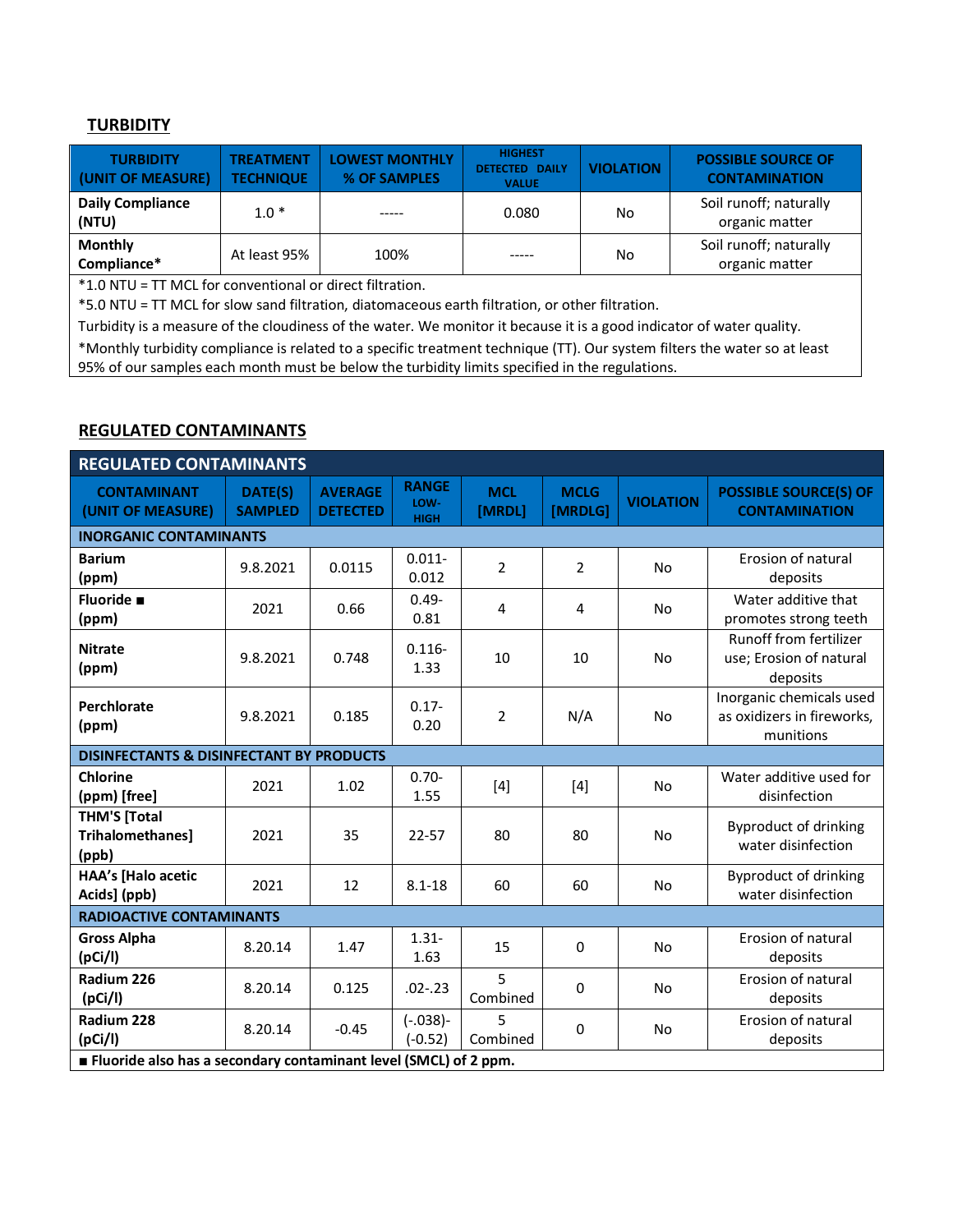#### **TURBIDITY**

| <b>TURBIDITY</b><br>(UNIT OF MEASURE) | <b>TREATMENT</b><br><b>TECHNIQUE</b> | LOWEST MONTHLY<br>% OF SAMPLES | <b>HIGHEST</b><br><b>DETECTED DAILY</b><br><b>VALUE</b> | <b>VIOLATION</b> | <b>POSSIBLE SOURCE OF</b><br><b>CONTAMINATION</b> |
|---------------------------------------|--------------------------------------|--------------------------------|---------------------------------------------------------|------------------|---------------------------------------------------|
| <b>Daily Compliance</b><br>(NTU)      | $1.0*$                               | -----                          | 0.080                                                   | No               | Soil runoff; naturally<br>organic matter          |
| <b>Monthly</b><br>Compliance*         | At least 95%                         | 100%                           | -----                                                   | No               | Soil runoff; naturally<br>organic matter          |

\*1.0 NTU = TT MCL for conventional or direct filtration.

\*5.0 NTU = TT MCL for slow sand filtration, diatomaceous earth filtration, or other filtration.

Turbidity is a measure of the cloudiness of the water. We monitor it because it is a good indicator of water quality.

\*Monthly turbidity compliance is related to a specific treatment technique (TT). Our system filters the water so at least 95% of our samples each month must be below the turbidity limits specified in the regulations.

#### **REGULATED CONTAMINANTS**

| <b>REGULATED CONTAMINANTS</b>                                    |                           |                                   |                                     |                      |                        |                  |                                                                     |  |  |  |
|------------------------------------------------------------------|---------------------------|-----------------------------------|-------------------------------------|----------------------|------------------------|------------------|---------------------------------------------------------------------|--|--|--|
| <b>CONTAMINANT</b><br>(UNIT OF MEASURE)                          | DATE(S)<br><b>SAMPLED</b> | <b>AVERAGE</b><br><b>DETECTED</b> | <b>RANGE</b><br>LOW-<br><b>HIGH</b> | <b>MCL</b><br>[MRDL] | <b>MCLG</b><br>[MRDLG] | <b>VIOLATION</b> | <b>POSSIBLE SOURCE(S) OF</b><br><b>CONTAMINATION</b>                |  |  |  |
| <b>INORGANIC CONTAMINANTS</b>                                    |                           |                                   |                                     |                      |                        |                  |                                                                     |  |  |  |
| <b>Barium</b><br>(ppm)                                           | 9.8.2021                  | 0.0115                            | $0.011 -$<br>0.012                  | $\overline{2}$       | $\overline{2}$         | <b>No</b>        | Erosion of natural<br>deposits                                      |  |  |  |
| Fluoride =<br>(ppm)                                              | 2021                      | 0.66                              | $0.49 -$<br>0.81                    | 4                    | 4                      | No               | Water additive that<br>promotes strong teeth                        |  |  |  |
| <b>Nitrate</b><br>(ppm)                                          | 9.8.2021                  | 0.748                             | $0.116 -$<br>1.33                   | 10                   | 10                     | <b>No</b>        | Runoff from fertilizer<br>use; Erosion of natural<br>deposits       |  |  |  |
| Perchlorate<br>(ppm)                                             | 9.8.2021                  | 0.185                             | $0.17 -$<br>0.20                    | $\overline{2}$       | N/A                    | <b>No</b>        | Inorganic chemicals used<br>as oxidizers in fireworks,<br>munitions |  |  |  |
| <b>DISINFECTANTS &amp; DISINFECTANT BY PRODUCTS</b>              |                           |                                   |                                     |                      |                        |                  |                                                                     |  |  |  |
| <b>Chlorine</b><br>(ppm) [free]                                  | 2021                      | 1.02                              | $0.70 -$<br>1.55                    | $[4]$                | $[4]$                  | No               | Water additive used for<br>disinfection                             |  |  |  |
| <b>THM'S [Total</b><br>Trihalomethanes]<br>(ppb)                 | 2021                      | 35                                | $22 - 57$                           | 80                   | 80                     | No               | Byproduct of drinking<br>water disinfection                         |  |  |  |
| <b>HAA's [Halo acetic</b><br>Acids] (ppb)                        | 2021                      | 12                                | $8.1 - 18$                          | 60                   | 60                     | <b>No</b>        | Byproduct of drinking<br>water disinfection                         |  |  |  |
| <b>RADIOACTIVE CONTAMINANTS</b>                                  |                           |                                   |                                     |                      |                        |                  |                                                                     |  |  |  |
| <b>Gross Alpha</b><br>(pCi/I)                                    | 8.20.14                   | 1.47                              | $1.31 -$<br>1.63                    | 15                   | $\Omega$               | <b>No</b>        | Erosion of natural<br>deposits                                      |  |  |  |
| Radium 226<br>(pCi/I)                                            | 8.20.14                   | 0.125                             | $.02 - .23$                         | 5<br>Combined        | 0                      | No               | Erosion of natural<br>deposits                                      |  |  |  |
| Radium 228<br>(pCi/I)                                            | 8.20.14                   | $-0.45$                           | $(-.038) -$<br>$(-0.52)$            | 5<br>Combined        | 0                      | No               | Erosion of natural<br>deposits                                      |  |  |  |
| Fluoride also has a secondary contaminant level (SMCL) of 2 ppm. |                           |                                   |                                     |                      |                        |                  |                                                                     |  |  |  |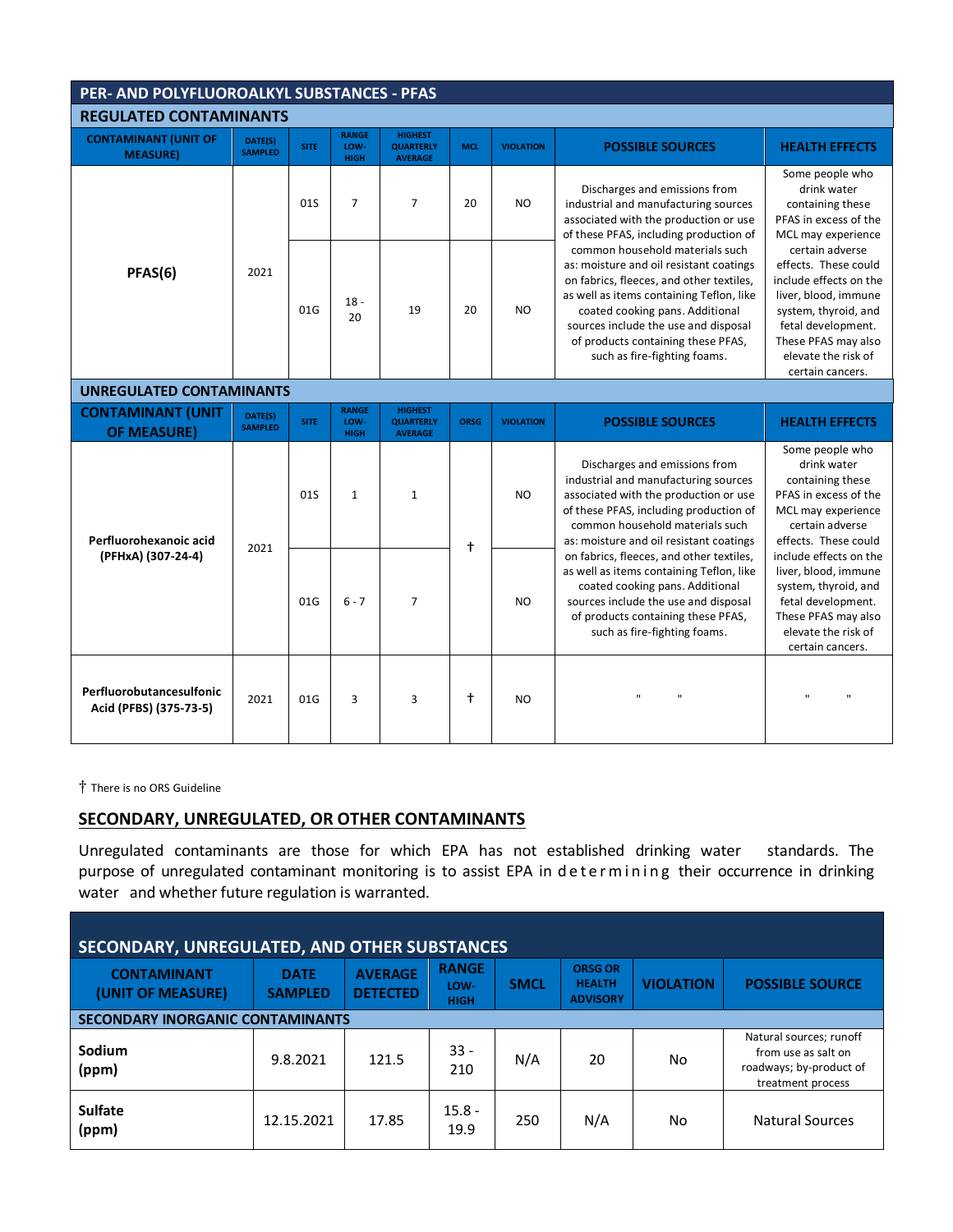# **PER- AND POLYFLUOROALKYL SUBSTANCES - PFAS**

| <b>REGULATED CONTAMINANTS</b>                                                                                                                                                                                                                                                                                                                                                                                                                                                                                                                                                                                                                       |                                                                                                   |             |                                     |                                                      |                                                                                                                                                                                                                                                                                              |                                                                                                                                                                                                           |                                                                                                                                                                                                       |                                                                                                                                                                |  |
|-----------------------------------------------------------------------------------------------------------------------------------------------------------------------------------------------------------------------------------------------------------------------------------------------------------------------------------------------------------------------------------------------------------------------------------------------------------------------------------------------------------------------------------------------------------------------------------------------------------------------------------------------------|---------------------------------------------------------------------------------------------------|-------------|-------------------------------------|------------------------------------------------------|----------------------------------------------------------------------------------------------------------------------------------------------------------------------------------------------------------------------------------------------------------------------------------------------|-----------------------------------------------------------------------------------------------------------------------------------------------------------------------------------------------------------|-------------------------------------------------------------------------------------------------------------------------------------------------------------------------------------------------------|----------------------------------------------------------------------------------------------------------------------------------------------------------------|--|
| <b>CONTAMINANT (UNIT OF</b><br><b>MEASURE)</b>                                                                                                                                                                                                                                                                                                                                                                                                                                                                                                                                                                                                      | DATE(S)<br><b>SAMPLED</b>                                                                         | <b>SITE</b> | <b>RANGE</b><br>LOW-<br><b>HIGH</b> | <b>HIGHEST</b><br><b>QUARTERLY</b><br><b>AVERAGE</b> | <b>MCL</b>                                                                                                                                                                                                                                                                                   | <b>VIOLATION</b>                                                                                                                                                                                          | <b>POSSIBLE SOURCES</b>                                                                                                                                                                               | <b>HEALTH EFFECTS</b>                                                                                                                                          |  |
| Discharges and emissions from<br>$\overline{7}$<br>$\overline{7}$<br><b>NO</b><br>01S<br>20<br>industrial and manufacturing sources<br>associated with the production or use<br>of these PFAS, including production of<br>common household materials such<br>as: moisture and oil resistant coatings<br>2021<br>PFAS(6)<br>on fabrics, fleeces, and other textiles,<br>as well as items containing Teflon, like<br>$18 -$<br>01G<br>19<br><b>NO</b><br>20<br>coated cooking pans. Additional<br>20<br>sources include the use and disposal<br>of products containing these PFAS,<br>such as fire-fighting foams.<br><b>UNREGULATED CONTAMINANTS</b> | Some people who<br>drink water<br>containing these<br>PFAS in excess of the<br>MCL may experience |             |                                     |                                                      |                                                                                                                                                                                                                                                                                              |                                                                                                                                                                                                           |                                                                                                                                                                                                       |                                                                                                                                                                |  |
|                                                                                                                                                                                                                                                                                                                                                                                                                                                                                                                                                                                                                                                     |                                                                                                   |             |                                     |                                                      | <b>VIOLATION</b><br><b>ORSG</b><br><b>POSSIBLE SOURCES</b><br>Discharges and emissions from<br><b>NO</b><br>$\ddagger$<br>coated cooking pans. Additional<br>N <sub>O</sub><br>of products containing these PFAS,<br>such as fire-fighting foams.<br>$\ddagger$<br>'n,<br>$\mathbf{u}$<br>NO | certain adverse<br>effects. These could<br>include effects on the<br>liver, blood, immune<br>system, thyroid, and<br>fetal development.<br>These PFAS may also<br>elevate the risk of<br>certain cancers. |                                                                                                                                                                                                       |                                                                                                                                                                |  |
|                                                                                                                                                                                                                                                                                                                                                                                                                                                                                                                                                                                                                                                     |                                                                                                   |             |                                     |                                                      |                                                                                                                                                                                                                                                                                              |                                                                                                                                                                                                           |                                                                                                                                                                                                       |                                                                                                                                                                |  |
| <b>CONTAMINANT (UNIT</b><br><b>OF MEASURE)</b>                                                                                                                                                                                                                                                                                                                                                                                                                                                                                                                                                                                                      | DATE(S)<br><b>SAMPLED</b>                                                                         | <b>SITE</b> | <b>RANGE</b><br>LOW-<br><b>HIGH</b> | <b>HIGHEST</b><br><b>QUARTERLY</b><br><b>AVERAGE</b> |                                                                                                                                                                                                                                                                                              |                                                                                                                                                                                                           |                                                                                                                                                                                                       | <b>HEALTH EFFECTS</b>                                                                                                                                          |  |
| Perfluorohexanoic acid                                                                                                                                                                                                                                                                                                                                                                                                                                                                                                                                                                                                                              |                                                                                                   | 01S         | $\mathbf{1}$                        | $\mathbf{1}$                                         |                                                                                                                                                                                                                                                                                              |                                                                                                                                                                                                           | industrial and manufacturing sources<br>associated with the production or use<br>of these PFAS, including production of<br>common household materials such<br>as: moisture and oil resistant coatings | Some people who<br>drink water<br>containing these<br>PFAS in excess of the<br>MCL may experience<br>certain adverse<br>effects. These could                   |  |
| (PFHxA) (307-24-4)                                                                                                                                                                                                                                                                                                                                                                                                                                                                                                                                                                                                                                  | 2021                                                                                              | 01G         | $6 - 7$                             | $\overline{7}$                                       |                                                                                                                                                                                                                                                                                              |                                                                                                                                                                                                           | on fabrics, fleeces, and other textiles,<br>as well as items containing Teflon, like<br>sources include the use and disposal                                                                          | include effects on the<br>liver, blood, immune<br>system, thyroid, and<br>fetal development.<br>These PFAS may also<br>elevate the risk of<br>certain cancers. |  |
| Perfluorobutancesulfonic<br>Acid (PFBS) (375-73-5)                                                                                                                                                                                                                                                                                                                                                                                                                                                                                                                                                                                                  | 2021                                                                                              | 01G         | 3                                   | 3                                                    |                                                                                                                                                                                                                                                                                              |                                                                                                                                                                                                           |                                                                                                                                                                                                       | $\mathbf{u}$<br>$\mathbf{u}$                                                                                                                                   |  |

There is no ORS Guideline

#### **SECONDARY, UNREGULATED, OR OTHER CONTAMINANTS**

Unregulated contaminants are those for which EPA has not established drinking water standards. The purpose of unregulated contaminant monitoring is to assist EPA in determining their occurrence in drinking water and whether future regulation is warranted.

| SECONDARY, UNREGULATED, AND OTHER SUBSTANCES |                               |                                   |                                     |             |                                                    |                  |                                                                                                |  |  |  |
|----------------------------------------------|-------------------------------|-----------------------------------|-------------------------------------|-------------|----------------------------------------------------|------------------|------------------------------------------------------------------------------------------------|--|--|--|
| <b>CONTAMINANT</b><br>(UNIT OF MEASURE)      | <b>DATE</b><br><b>SAMPLED</b> | <b>AVERAGE</b><br><b>DETECTED</b> | <b>RANGE</b><br>LOW-<br><b>HIGH</b> | <b>SMCL</b> | <b>ORSG OR</b><br><b>HEALTH</b><br><b>ADVISORY</b> | <b>VIOLATION</b> | <b>POSSIBLE SOURCE</b>                                                                         |  |  |  |
| <b>SECONDARY INORGANIC CONTAMINANTS</b>      |                               |                                   |                                     |             |                                                    |                  |                                                                                                |  |  |  |
| Sodium<br>(ppm)                              | 9.8.2021                      | 121.5                             | $33 -$<br>210                       | N/A         | 20                                                 | No               | Natural sources; runoff<br>from use as salt on<br>roadways; by-product of<br>treatment process |  |  |  |
| <b>Sulfate</b><br>(ppm)                      | 12.15.2021                    | 17.85                             | $15.8 -$<br>19.9                    | 250         | N/A                                                | No               | <b>Natural Sources</b>                                                                         |  |  |  |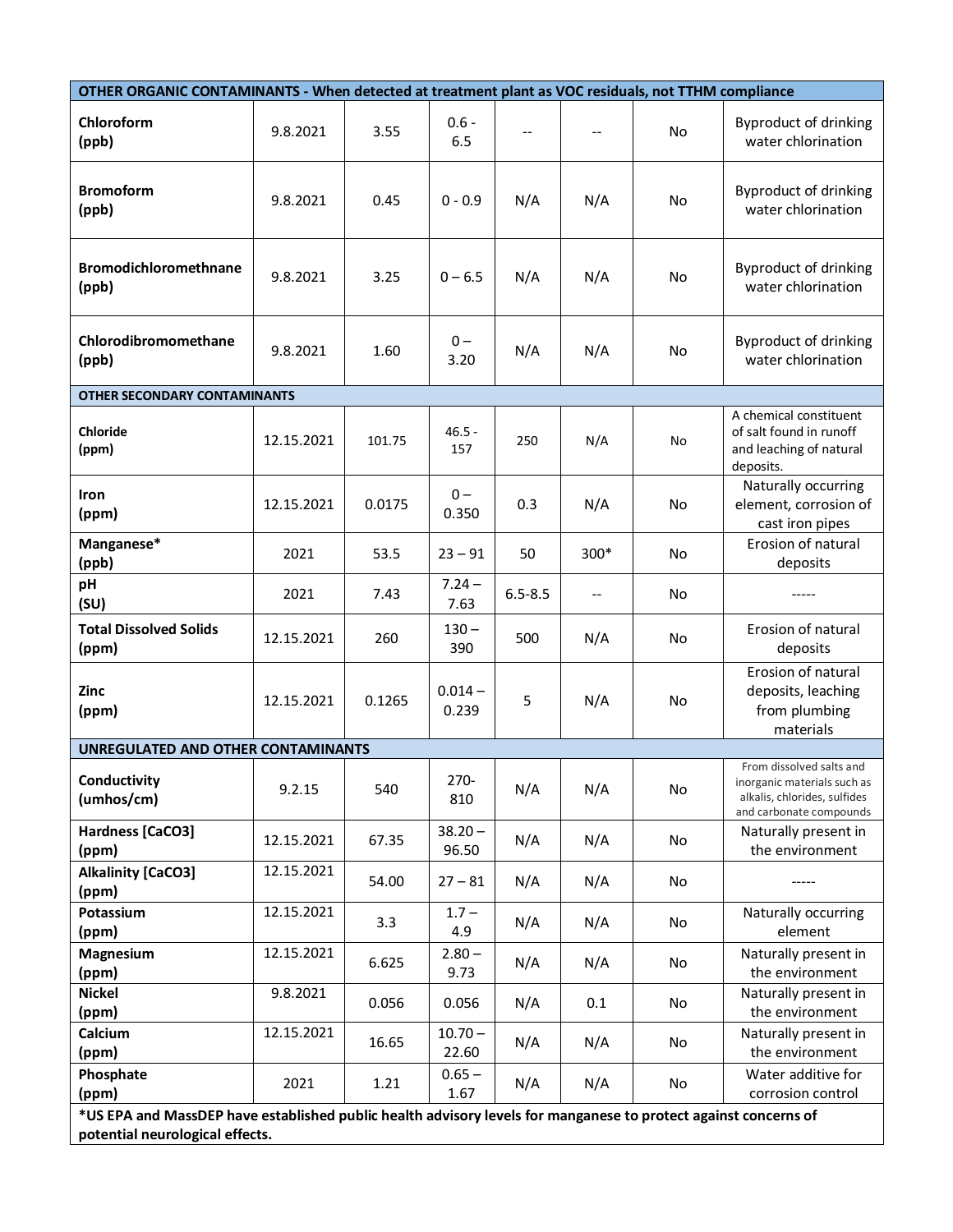| OTHER ORGANIC CONTAMINANTS - When detected at treatment plant as VOC residuals, not TTHM compliance              |            |        |                    |             |        |           |                                                                                                                    |
|------------------------------------------------------------------------------------------------------------------|------------|--------|--------------------|-------------|--------|-----------|--------------------------------------------------------------------------------------------------------------------|
| Chloroform<br>(ppb)                                                                                              | 9.8.2021   | 3.55   | $0.6 -$<br>6.5     |             |        | <b>No</b> | Byproduct of drinking<br>water chlorination                                                                        |
| <b>Bromoform</b><br>(ppb)                                                                                        | 9.8.2021   | 0.45   | $0 - 0.9$          | N/A         | N/A    | No        | Byproduct of drinking<br>water chlorination                                                                        |
| <b>Bromodichloromethnane</b><br>(ppb)                                                                            | 9.8.2021   | 3.25   | $0 - 6.5$          | N/A         | N/A    | <b>No</b> | Byproduct of drinking<br>water chlorination                                                                        |
| Chlorodibromomethane<br>(ppb)                                                                                    | 9.8.2021   | 1.60   | $0 -$<br>3.20      | N/A         | N/A    | No        | Byproduct of drinking<br>water chlorination                                                                        |
| <b>OTHER SECONDARY CONTAMINANTS</b>                                                                              |            |        |                    |             |        |           |                                                                                                                    |
| <b>Chloride</b><br>(ppm)                                                                                         | 12.15.2021 | 101.75 | $46.5 -$<br>157    | 250         | N/A    | No        | A chemical constituent<br>of salt found in runoff<br>and leaching of natural<br>deposits.                          |
| Iron<br>(ppm)                                                                                                    | 12.15.2021 | 0.0175 | $0 -$<br>0.350     | 0.3         | N/A    | No        | Naturally occurring<br>element, corrosion of<br>cast iron pipes                                                    |
| Manganese*<br>(ppb)                                                                                              | 2021       | 53.5   | $23 - 91$          | 50          | $300*$ | No        | Erosion of natural<br>deposits                                                                                     |
| pH<br>(SU)                                                                                                       | 2021       | 7.43   | $7.24 -$<br>7.63   | $6.5 - 8.5$ | $-$    | No        |                                                                                                                    |
| <b>Total Dissolved Solids</b><br>(ppm)                                                                           | 12.15.2021 | 260    | $130 -$<br>390     | 500         | N/A    | No        | Erosion of natural<br>deposits                                                                                     |
| Zinc<br>(ppm)                                                                                                    | 12.15.2021 | 0.1265 | $0.014 -$<br>0.239 | 5           | N/A    | No        | Erosion of natural<br>deposits, leaching<br>from plumbing<br>materials                                             |
| UNREGULATED AND OTHER CONTAMINANTS                                                                               |            |        |                    |             |        |           |                                                                                                                    |
| Conductivity<br>(umhos/cm)                                                                                       | 9.2.15     | 540    | 270-<br>810        | N/A         | N/A    | No        | From dissolved salts and<br>inorganic materials such as<br>alkalis, chlorides, sulfides<br>and carbonate compounds |
| Hardness [CaCO3]<br>(ppm)                                                                                        | 12.15.2021 | 67.35  | $38.20 -$<br>96.50 | N/A         | N/A    | No        | Naturally present in<br>the environment                                                                            |
| <b>Alkalinity [CaCO3]</b><br>(ppm)                                                                               | 12.15.2021 | 54.00  | $27 - 81$          | N/A         | N/A    | No        |                                                                                                                    |
| Potassium<br>(ppm)                                                                                               | 12.15.2021 | 3.3    | $1.7 -$<br>4.9     | N/A         | N/A    | No        | Naturally occurring<br>element                                                                                     |
| Magnesium<br>(ppm)                                                                                               | 12.15.2021 | 6.625  | $2.80 -$<br>9.73   | N/A         | N/A    | No        | Naturally present in<br>the environment                                                                            |
| <b>Nickel</b><br>(ppm)                                                                                           | 9.8.2021   | 0.056  | 0.056              | N/A         | 0.1    | No        | Naturally present in<br>the environment                                                                            |
| Calcium<br>(ppm)                                                                                                 | 12.15.2021 | 16.65  | $10.70 -$<br>22.60 | N/A         | N/A    | No        | Naturally present in<br>the environment                                                                            |
| Phosphate<br>(ppm)                                                                                               | 2021       | 1.21   | $0.65 -$<br>1.67   | N/A         | N/A    | No        | Water additive for<br>corrosion control                                                                            |
| *IJS EDA and MassDED have established public health advisory levels for manganese to protect against concerns of |            |        |                    |             |        |           |                                                                                                                    |

**\*US EPA and MassDEP have established public health advisory levels for manganese to protect against concerns of potential neurological effects.**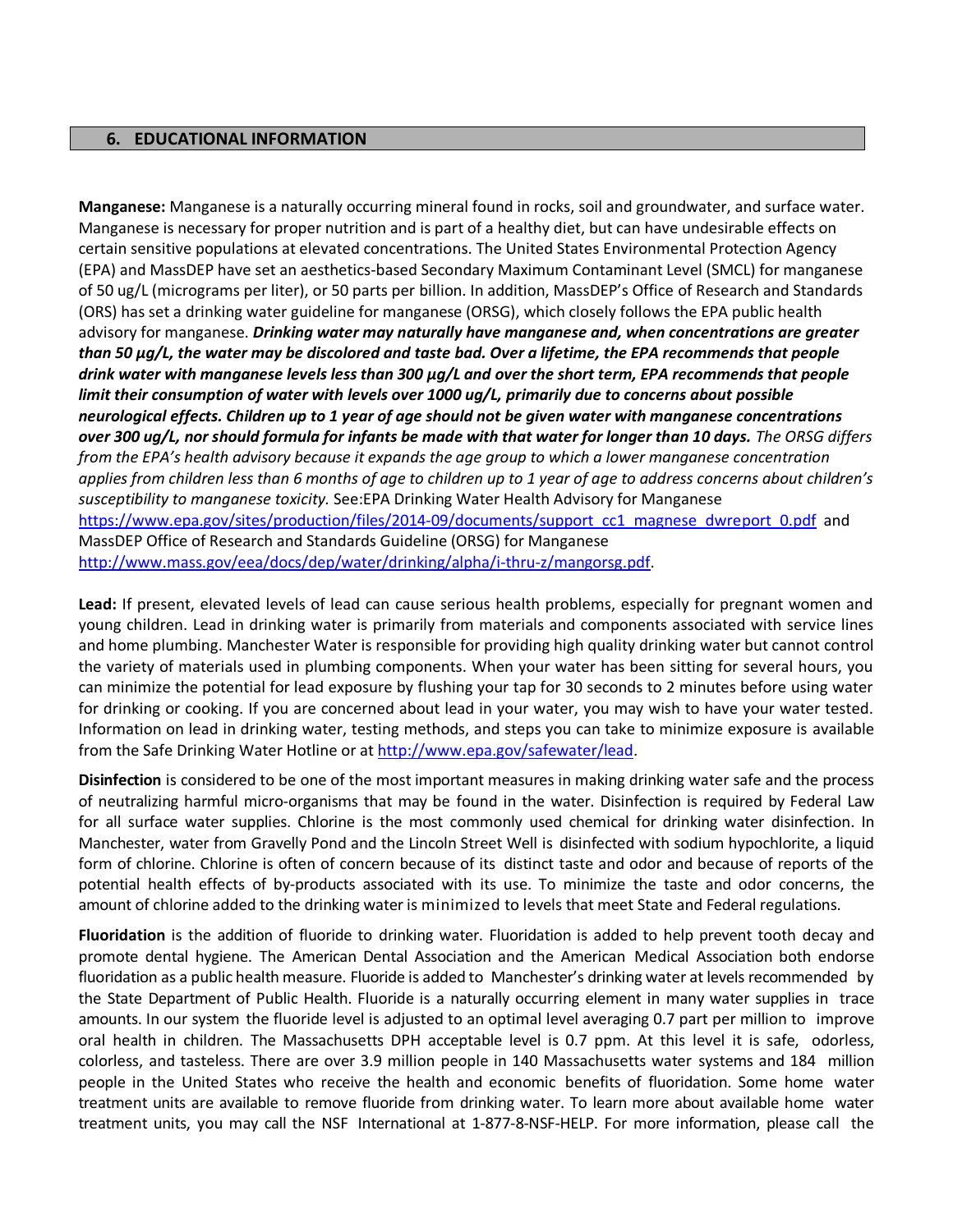#### **6. EDUCATIONAL INFORMATION**

**Manganese:** Manganese is a naturally occurring mineral found in rocks, soil and groundwater, and surface water. Manganese is necessary for proper nutrition and is part of a healthy diet, but can have undesirable effects on certain sensitive populations at elevated concentrations. The United States Environmental Protection Agency (EPA) and MassDEP have set an aesthetics‐based Secondary Maximum Contaminant Level (SMCL) for manganese of 50 ug/L (micrograms per liter), or 50 parts per billion. In addition, MassDEP's Office of Research and Standards (ORS) has set a drinking water guideline for manganese (ORSG), which closely follows the EPA public health advisory for manganese. *Drinking water may naturally have manganese and, when concentrations are greater than 50 μg/L, the water may be discolored and taste bad. Over a lifetime, the EPA recommends that people drink water with manganese levels less than 300 μg/L and over the short term, EPA recommends that people limit their consumption of water with levels over 1000 ug/L, primarily due to concerns about possible neurological effects. Children up to 1 year of age should not be given water with manganese concentrations over 300 ug/L, nor should formula for infants be made with that water for longer than 10 days. The ORSG differs from the EPA's health advisory because it expands the age group to which a lower manganese concentration applies from children less than 6 months of age to children up to 1 year of age to address concerns about children's susceptibility to manganese toxicity.* See:EPA Drinking Water Health Advisory for Manganese https://www.epa.gov/sites/production/files/2014-09/documents/support\_cc1\_magnese\_dwreport\_0.pdf and MassDEP Office of Research and Standards Guideline (ORSG) for Manganese http://www.mass.gov/eea/docs/dep/water/drinking/alpha/i-thru-z/mangorsg.pdf.

**Lead:** If present, elevated levels of lead can cause serious health problems, especially for pregnant women and young children. Lead in drinking water is primarily from materials and components associated with service lines and home plumbing. Manchester Water is responsible for providing high quality drinking water but cannot control the variety of materials used in plumbing components. When your water has been sitting for several hours, you can minimize the potential for lead exposure by flushing your tap for 30 seconds to 2 minutes before using water for drinking or cooking. If you are concerned about lead in your water, you may wish to have your water tested. Information on lead in drinking water, testing methods, and steps you can take to minimize exposure is available from the Safe Drinking Water Hotline or at [http://www.epa.gov/safewater/lead.](http://www.epa.gov/safewater/lead)

**Disinfection** is considered to be one of the most important measures in making drinking water safe and the process of neutralizing harmful micro-organisms that may be found in the water. Disinfection is required by Federal Law for all surface water supplies. Chlorine is the most commonly used chemical for drinking water disinfection. In Manchester, water from Gravelly Pond and the Lincoln Street Well is disinfected with sodium hypochlorite, a liquid form of chlorine. Chlorine is often of concern because of its distinct taste and odor and because of reports of the potential health effects of by-products associated with its use. To minimize the taste and odor concerns, the amount of chlorine added to the drinking water is minimized to levels that meet State and Federal regulations.

**Fluoridation** is the addition of fluoride to drinking water. Fluoridation is added to help prevent tooth decay and promote dental hygiene. The American Dental Association and the American Medical Association both endorse fluoridation as a public health measure. Fluoride is added to Manchester's drinking water at levels recommended by the State Department of Public Health. Fluoride is a naturally occurring element in many water supplies in trace amounts. In our system the fluoride level is adjusted to an optimal level averaging 0.7 part per million to improve oral health in children. The Massachusetts DPH acceptable level is 0.7 ppm. At this level it is safe, odorless, colorless, and tasteless. There are over 3.9 million people in 140 Massachusetts water systems and 184 million people in the United States who receive the health and economic benefits of fluoridation. Some home water treatment units are available to remove fluoride from drinking water. To learn more about available home water treatment units, you may call the NSF International at 1-877-8-NSF-HELP. For more information, please call the